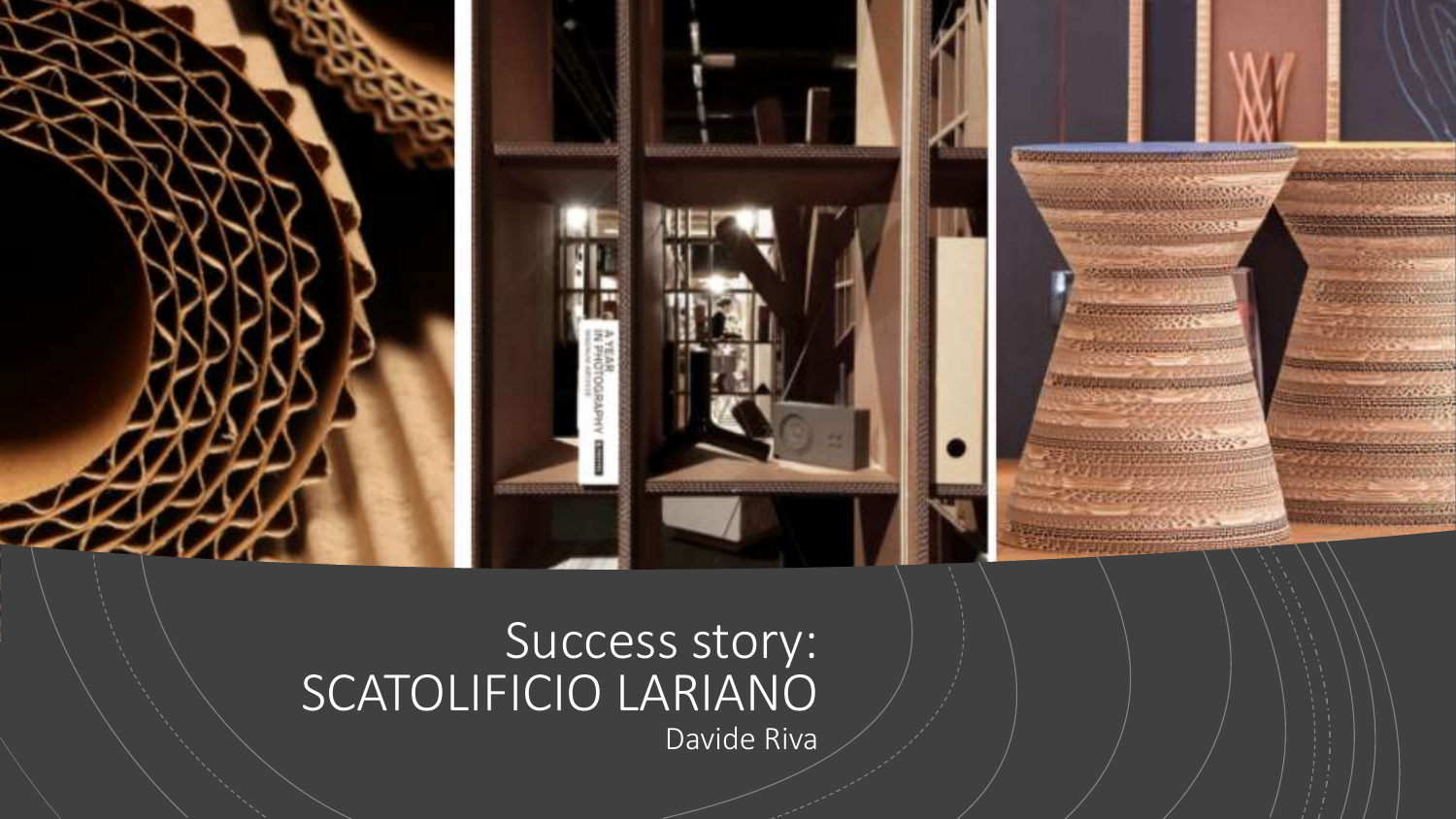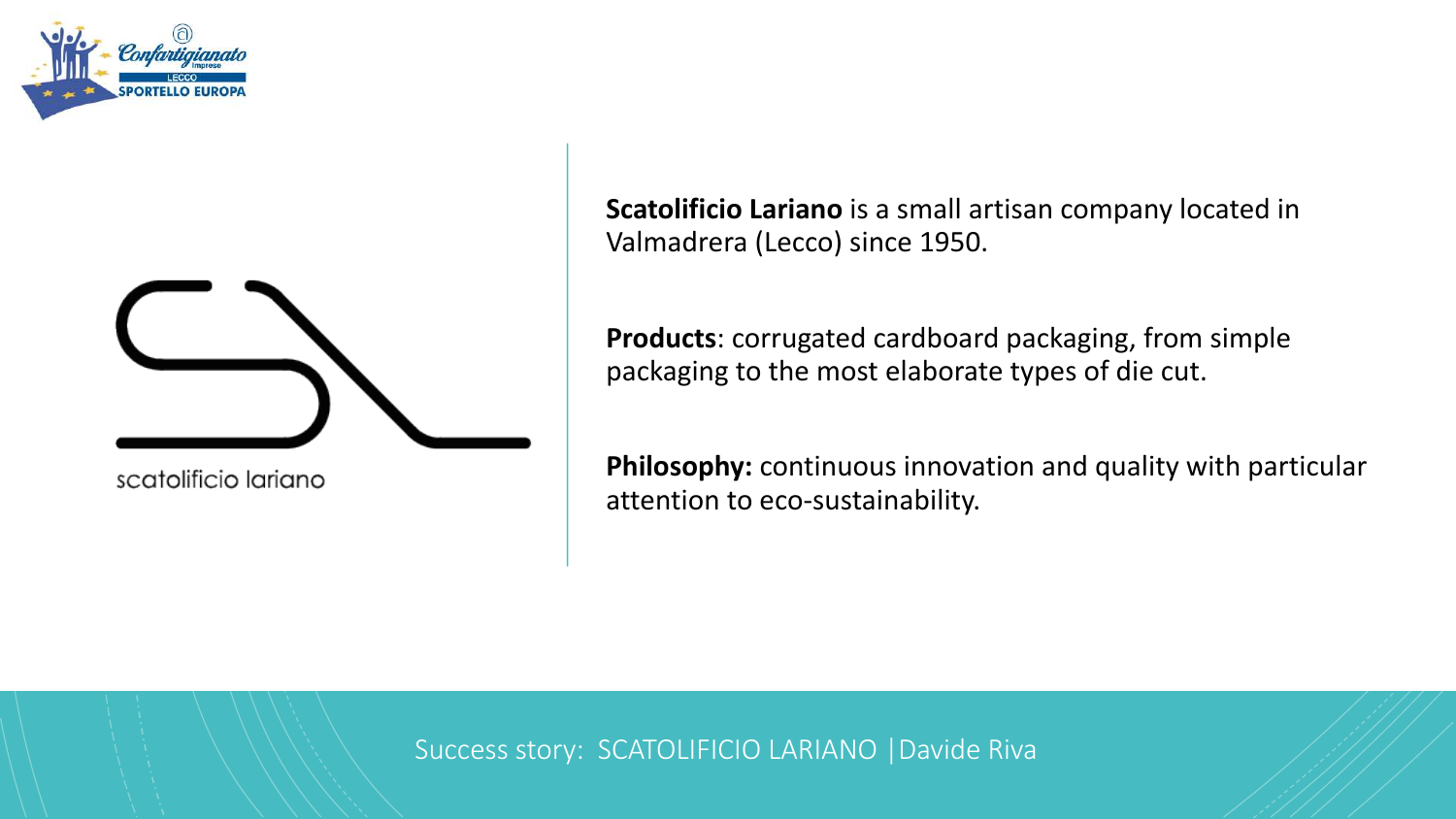



scatolificio lariano

**Scatolificio Lariano** is a small artisan company located in Valmadrera (Lecco) since 1950.

**Products**: corrugated cardboard packaging, from simple packaging to the most elaborate types of die cut.

**Philosophy:** continuous innovation and quality with particular attention to eco-sustainability.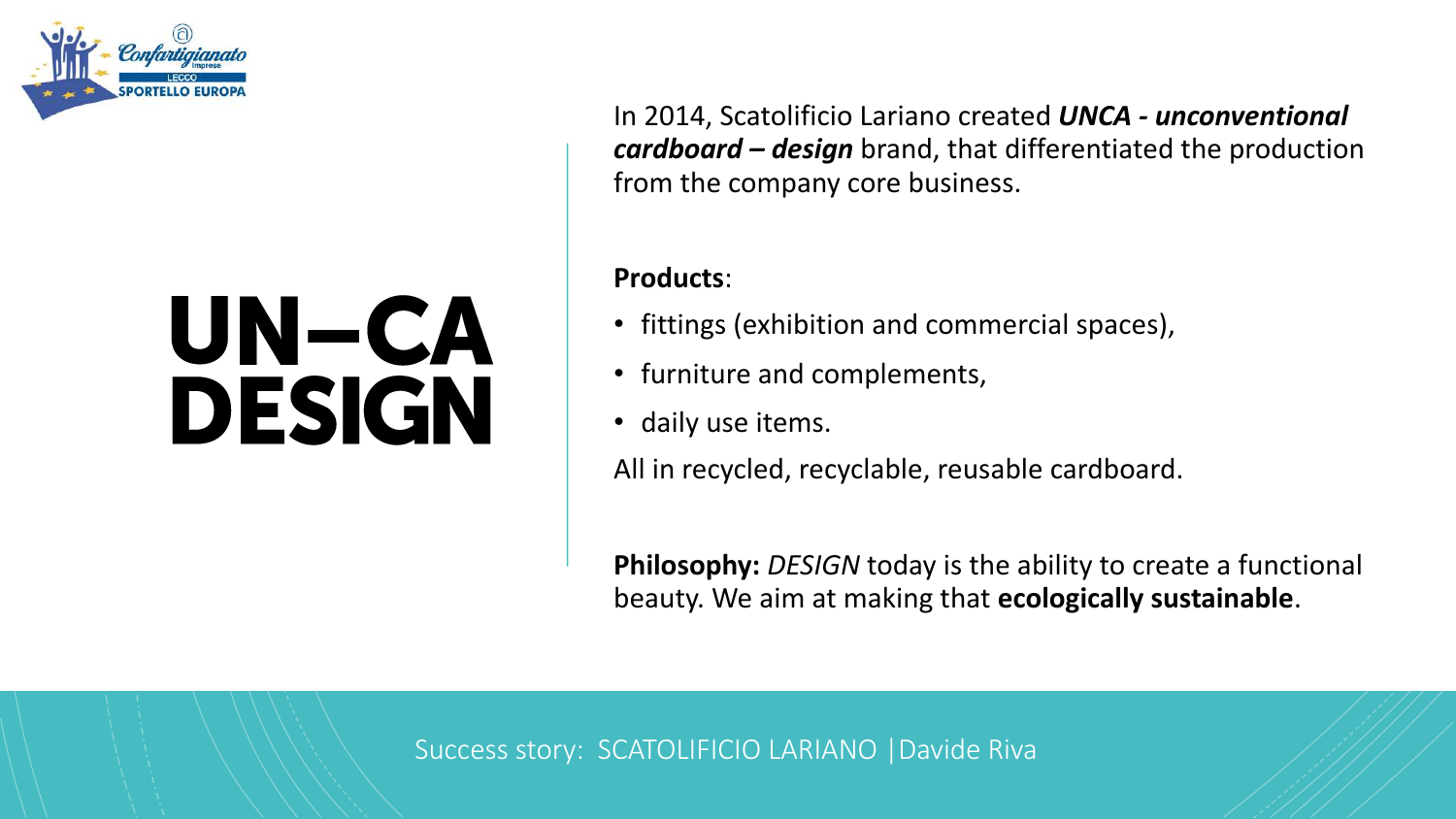

## UN-CA **DESIGN**

In 2014, Scatolificio Lariano created *UNCA - unconventional cardboard – design* brand, that differentiated the production from the company core business.

#### **Products**:

- fittings (exhibition and commercial spaces),
- furniture and complements,
- daily use items.

All in recycled, recyclable, reusable cardboard.

**Philosophy:** *DESIGN* today is the ability to create a functional beauty. We aim at making that **ecologically sustainable**.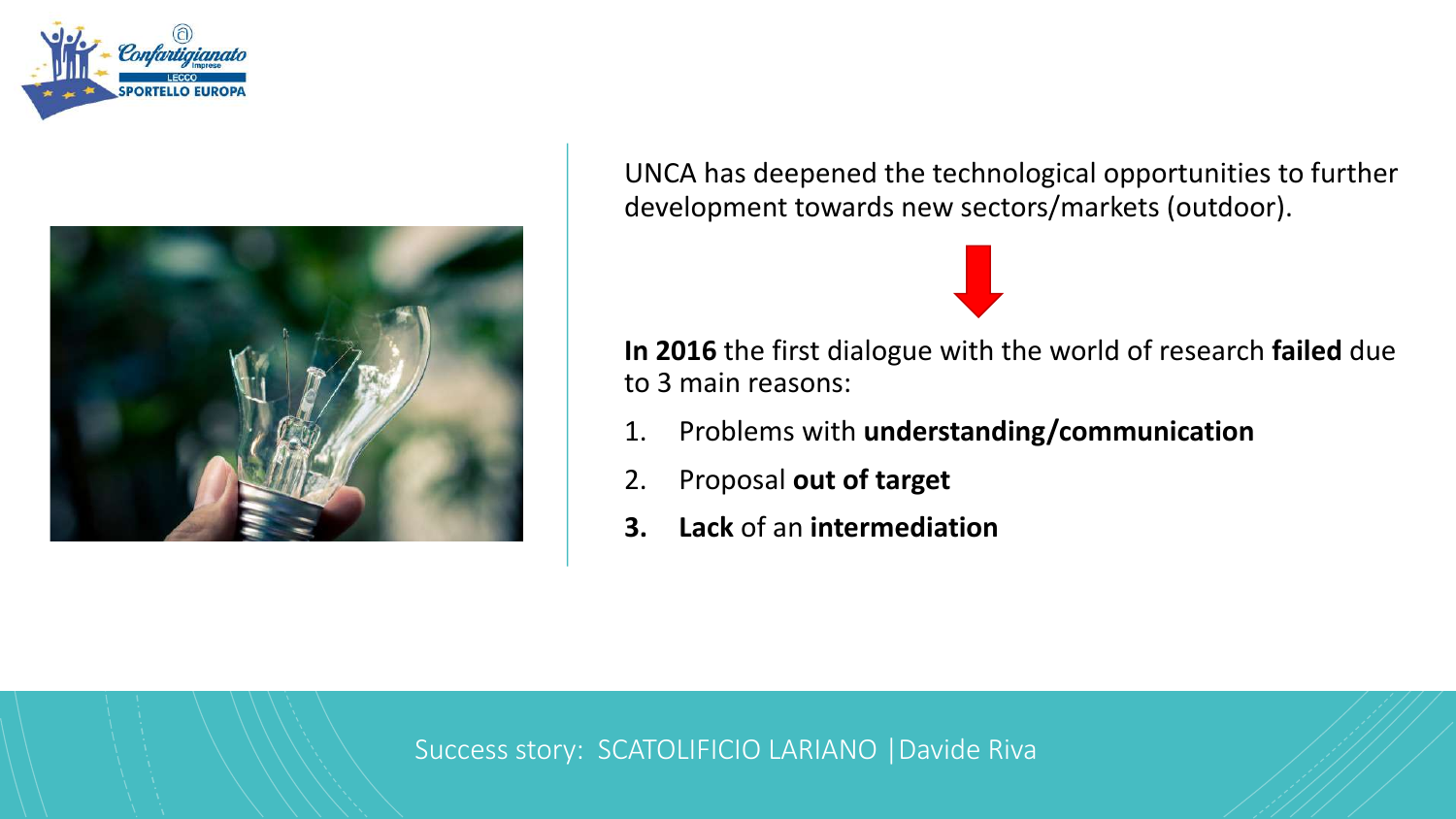



UNCA has deepened the technological opportunities to further development towards new sectors/markets (outdoor).

**In 2016** the first dialogue with the world of research **failed** due to 3 main reasons:

- 1. Problems with **understanding/communication**
- 2. Proposal **out of target**
- **3. Lack** of an **intermediation**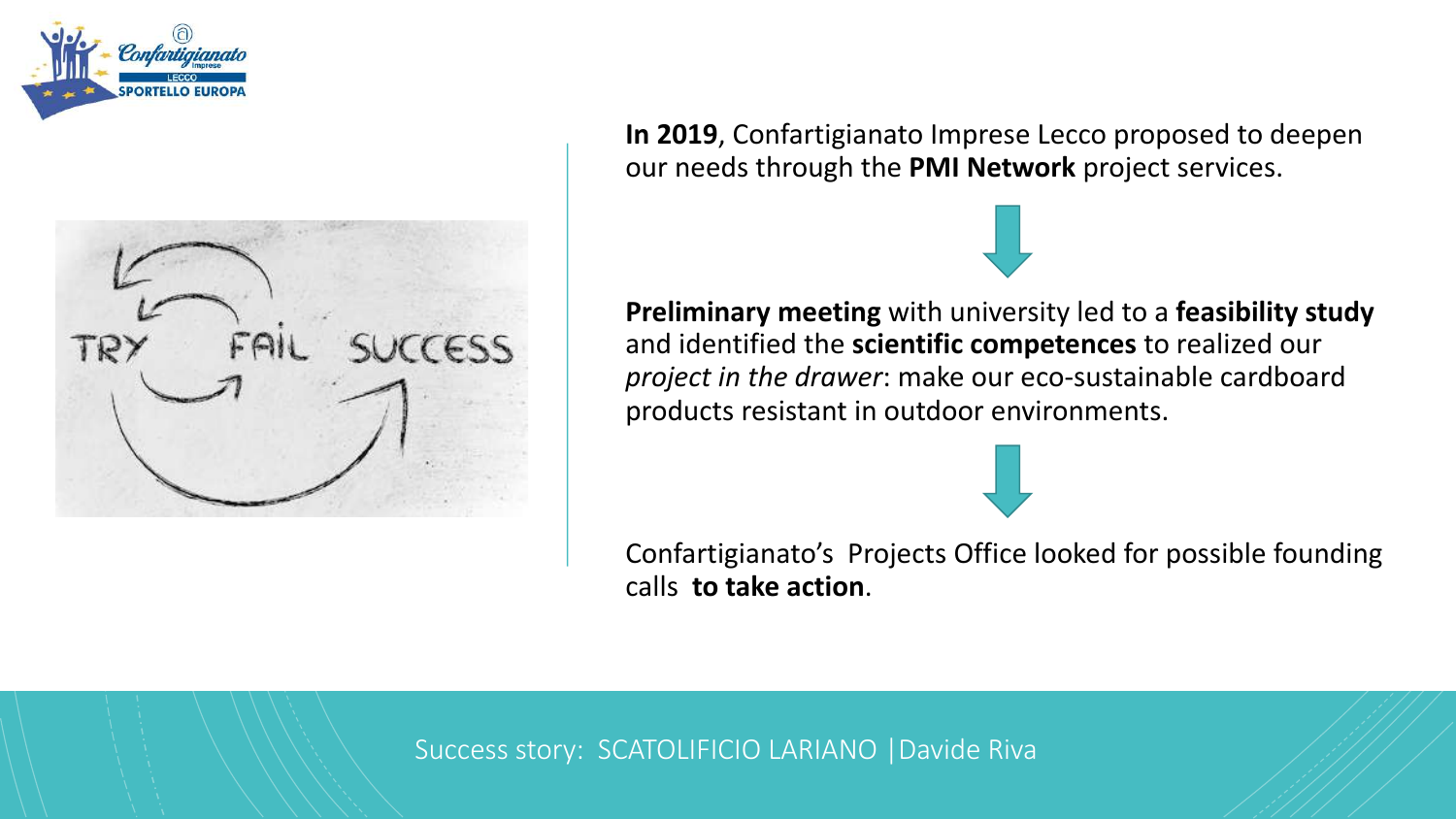



**In 2019**, Confartigianato Imprese Lecco proposed to deepen our needs through the **PMI Network** project services.



**Preliminary meeting** with university led to a **feasibility study**  and identified the **scientific competences** to realized our *project in the drawer*: make our eco-sustainable cardboard products resistant in outdoor environments.

Confartigianato's Projects Office looked for possible founding calls **to take action**.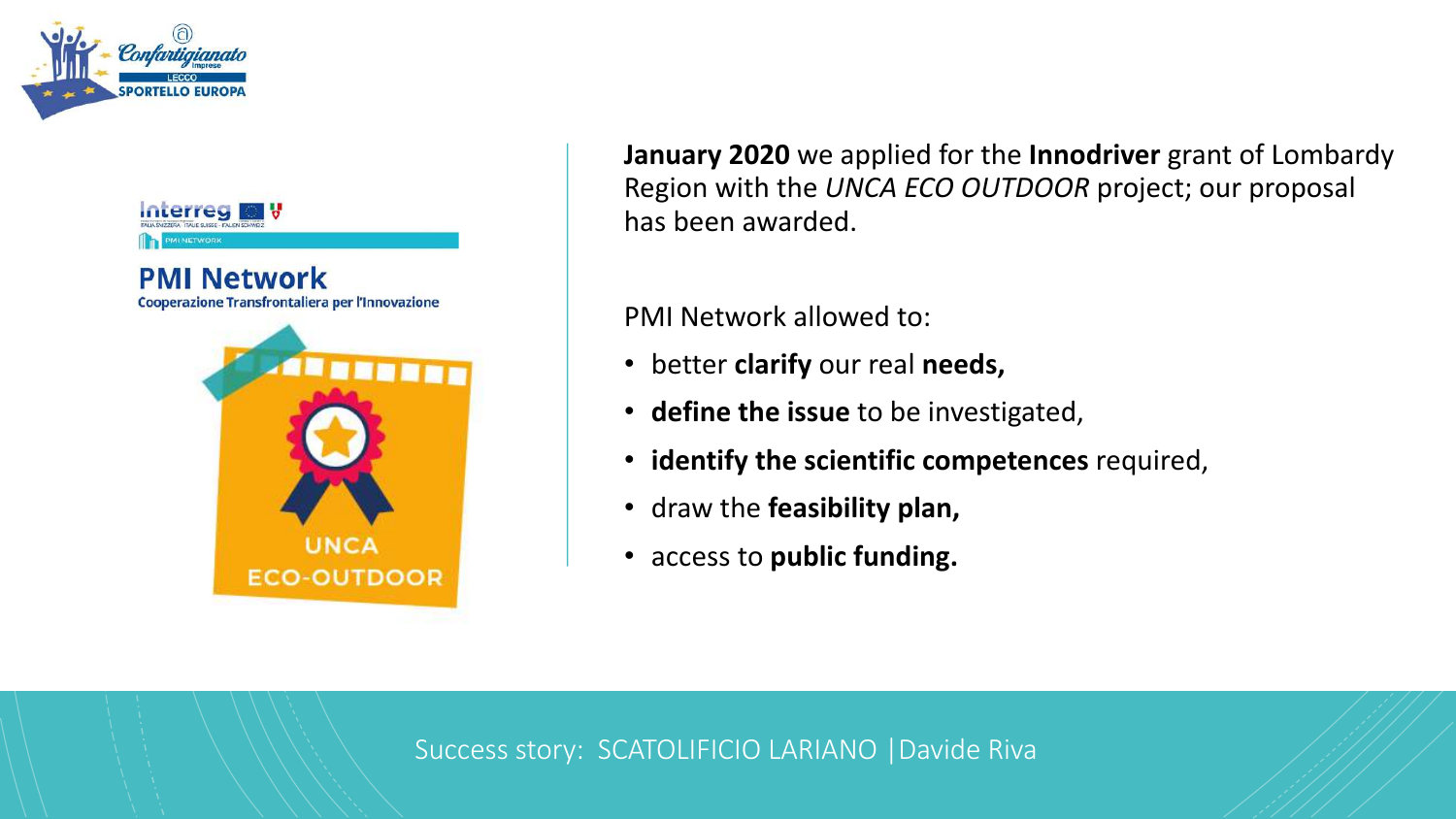



**January 2020** we applied for the **Innodriver** grant of Lombardy Region with the *UNCA ECO OUTDOOR* project; our proposal has been awarded.

PMI Network allowed to:

- better **clarify** our real **needs,**
- **define the issue** to be investigated,
- **identify the scientific competences** required,
- draw the **feasibility plan,**
- access to **public funding.**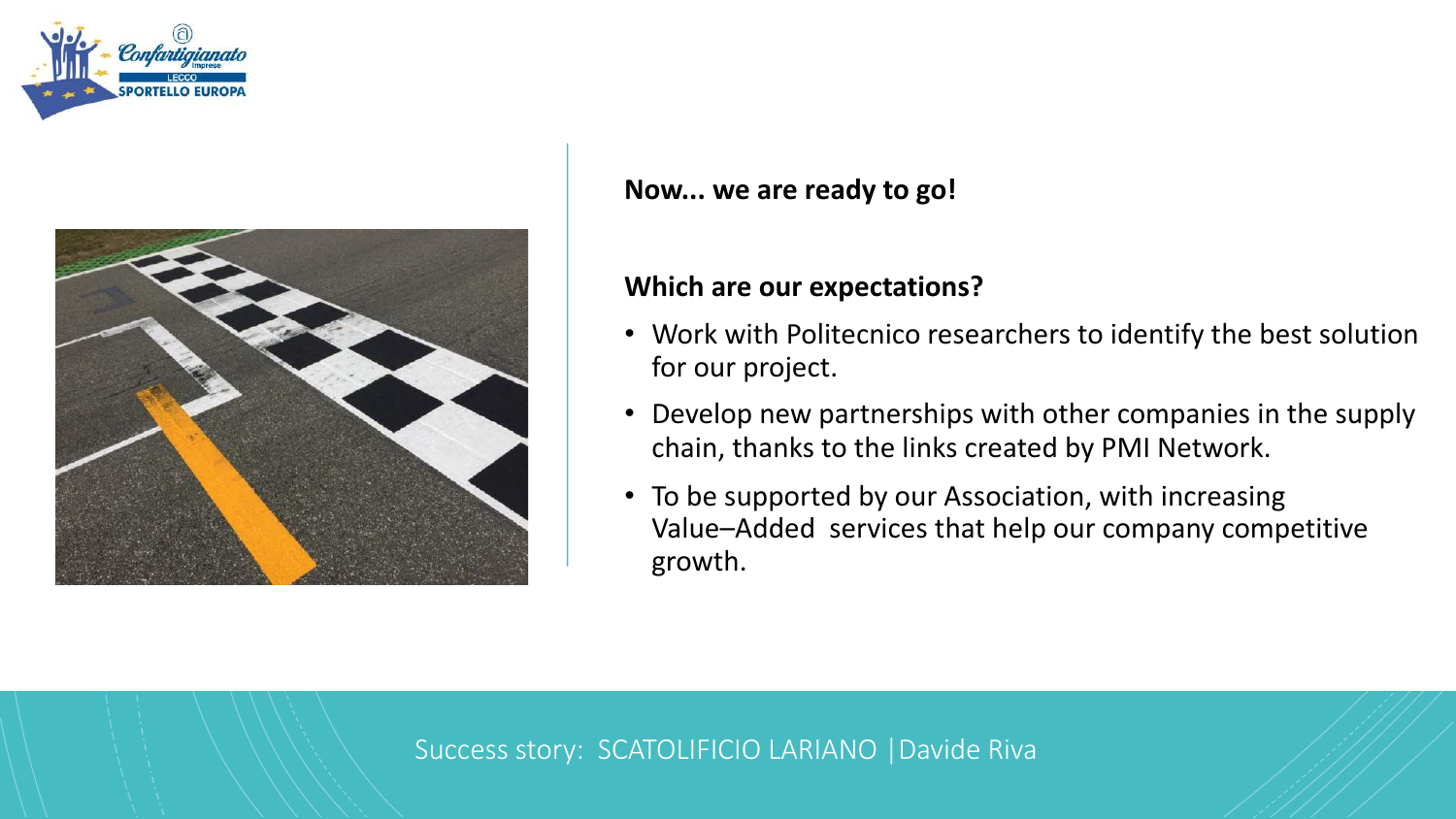



#### **Now... we are ready to go!**

#### **Which are our expectations?**

- Work with Politecnico researchers to identify the best solution for our project.
- Develop new partnerships with other companies in the supply chain, thanks to the links created by PMI Network.
- To be supported by our Association, with increasing Value–Added services that help our company competitive growth.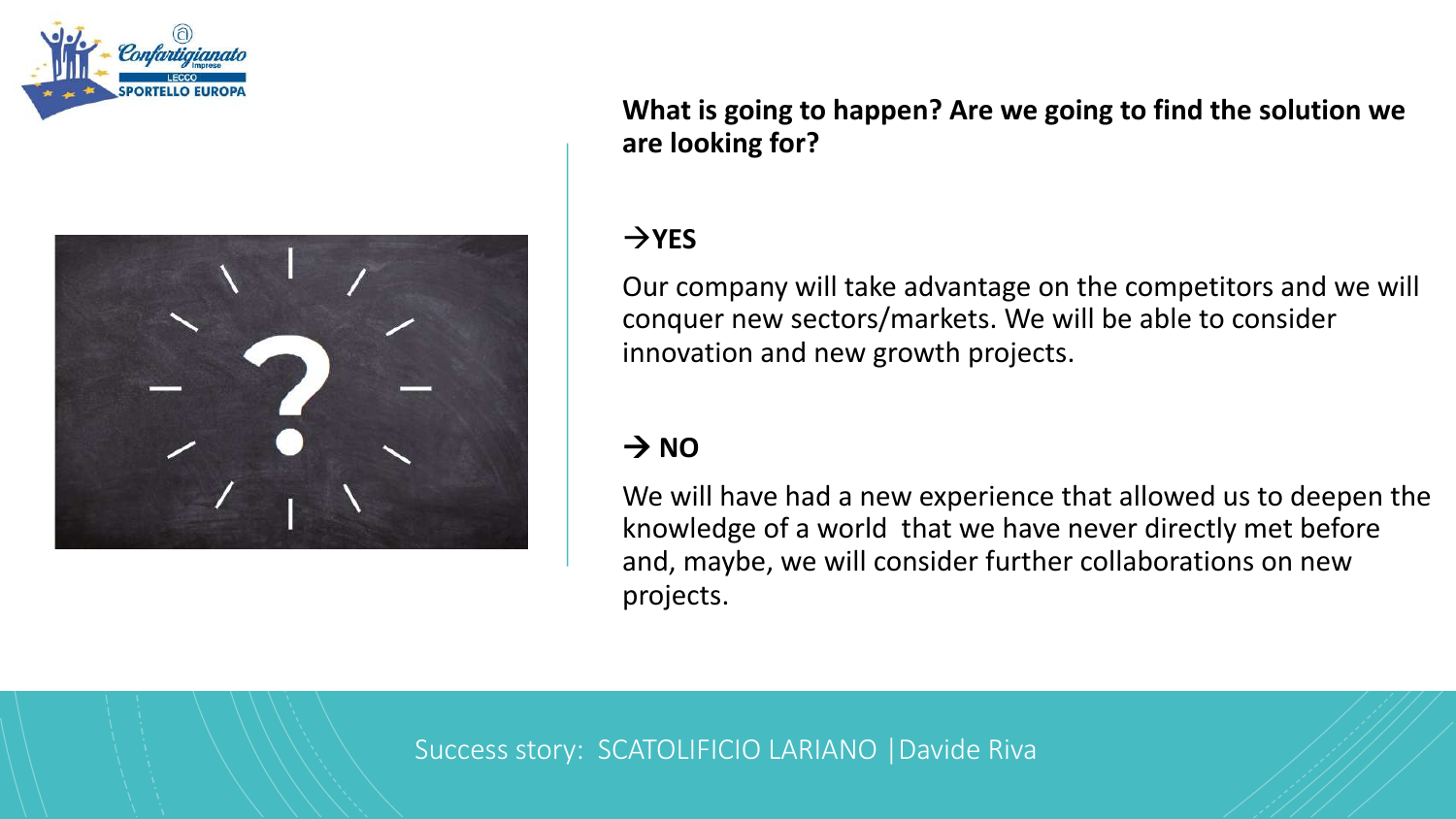



**What is going to happen? Are we going to find the solution we are looking for?**

#### $\rightarrow$ **YES**

Our company will take advantage on the competitors and we will conquer new sectors/markets. We will be able to consider innovation and new growth projects.

#### $\rightarrow$  NO

We will have had a new experience that allowed us to deepen the knowledge of a world that we have never directly met before and, maybe, we will consider further collaborations on new projects.